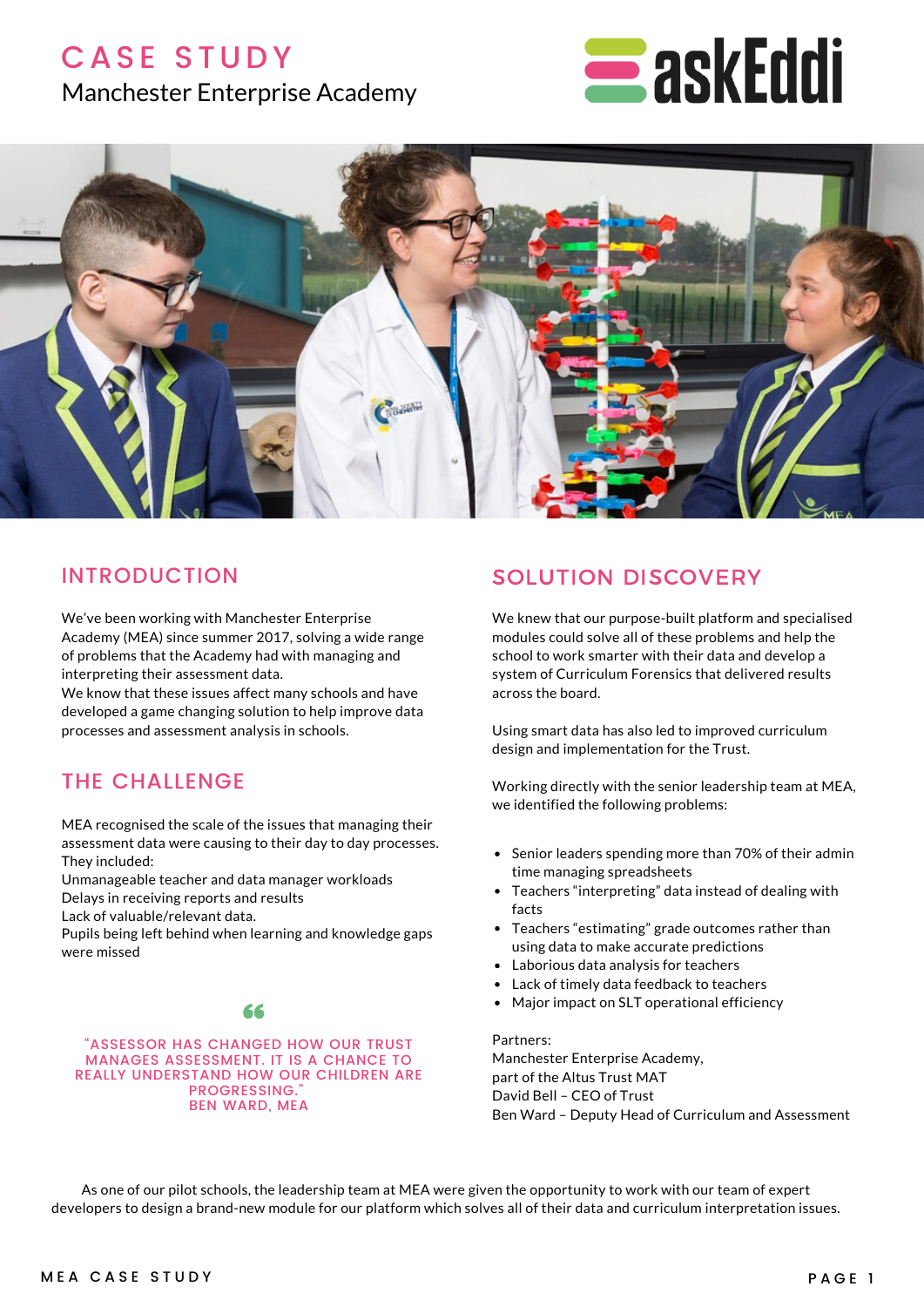## **CASE STUDY**

## Manchester Enterprise Academy





## INTRODUCTION

We've been working with Manchester Enterprise Academy (MEA) since summer 2017, solving a wide range of problems that the Academy had with managing and interpreting their assessment data.

We know that these issues affect many schools and have developed a game changing solution to help improve data processes and assessment analysis in schools.

## THE CHALLENGE

MEA recognised the scale of the issues that managing their assessment data were causing to their day to day processes. They included:

Unmanageable teacher and data manager workloads Delays in receiving reports and results

Lack of valuable/relevant data.

Pupils being left behind when learning and knowledge gaps were missed

### 66

#### "ASSESSOR HAS CHANGED HOW OUR TRUST MANAGES ASSESSMENT. IT IS A CHANCE TO REALLY UNDERSTAND HOW OUR CHILDREN ARE PROGRESSING. BEN WARD, MEA

## SOLUTION DISCOVERY

We knew that our purpose-built platform and specialised modules could solve all of these problems and help the school to work smarter with their data and develop a system of Curriculum Forensics that delivered results across the board.

Using smart data has also led to improved curriculum design and implementation for the Trust.

Working directly with the senior leadership team at MEA, we identified the following problems:

- Senior leaders spending more than 70% of their admin time managing spreadsheets
- Teachers "interpreting" data instead of dealing with facts
- Teachers "estimating" grade outcomes rather than using data to make accurate predictions
- Laborious data analysis for teachers
- Lack of timely data feedback to teachers
- Major impact on SLT operational efficiency

#### Partners:

Manchester Enterprise Academy, part of the Altus Trust MAT David Bell – CEO of Trust Ben Ward – Deputy Head of Curriculum and Assessment

As one of our pilot schools, the leadership team at MEA were given the opportunity to work with our team of expert developers to design a brand-new module for our platform which solves all of their data and curriculum interpretation issues.